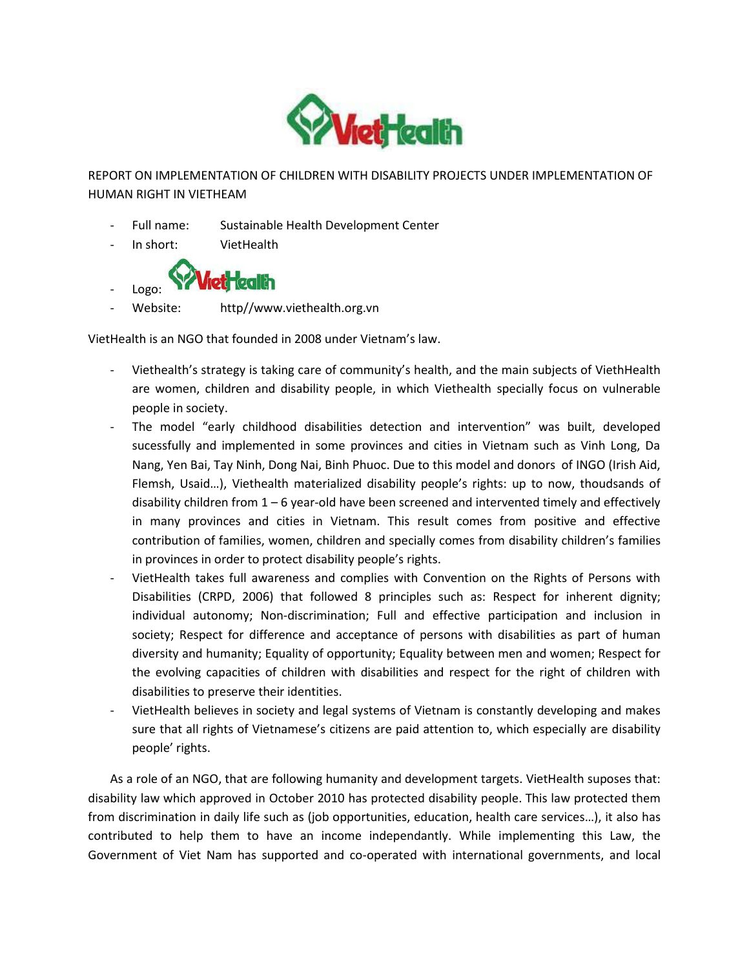

REPORT ON IMPLEMENTATION OF CHILDREN WITH DISABILITY PROJECTS UNDER IMPLEMENTATION OF HUMAN RIGHT IN VIETHEAM

- Full name: Sustainable Health Development Center
- In short: VietHealth



Website: http//www.viethealth.org.vn

VietHealth is an NGO that founded in 2008 under Vietnam's law.

- Viethealth's strategy is taking care of community's health, and the main subjects of ViethHealth are women, children and disability people, in which Viethealth specially focus on vulnerable people in society.
- The model "early childhood disabilities detection and intervention" was built, developed sucessfully and implemented in some provinces and cities in Vietnam such as Vinh Long, Da Nang, Yen Bai, Tay Ninh, Dong Nai, Binh Phuoc. Due to this model and donors of INGO (Irish Aid, Flemsh, Usaid…), Viethealth materialized disability people's rights: up to now, thoudsands of disability children from 1 – 6 year-old have been screened and intervented timely and effectively in many provinces and cities in Vietnam. This result comes from positive and effective contribution of families, women, children and specially comes from disability children's families in provinces in order to protect disability people's rights.
- VietHealth takes full awareness and complies with Convention on the Rights of Persons with Disabilities (CRPD, 2006) that followed 8 principles such as: Respect for inherent dignity; individual autonomy; Non-discrimination; Full and effective participation and inclusion in society; Respect for difference and acceptance of persons with disabilities as part of human diversity and humanity; Equality of opportunity; Equality between men and women; Respect for the evolving capacities of children with disabilities and respect for the right of children with disabilities to preserve their identities.
- VietHealth believes in society and legal systems of Vietnam is constantly developing and makes sure that all rights of Vietnamese's citizens are paid attention to, which especially are disability people' rights.

As a role of an NGO, that are following humanity and development targets. VietHealth suposes that: disability law which approved in October 2010 has protected disability people. This law protected them from discrimination in daily life such as (job opportunities, education, health care services…), it also has contributed to help them to have an income independantly. While implementing this Law, the Government of Viet Nam has supported and co-operated with international governments, and local